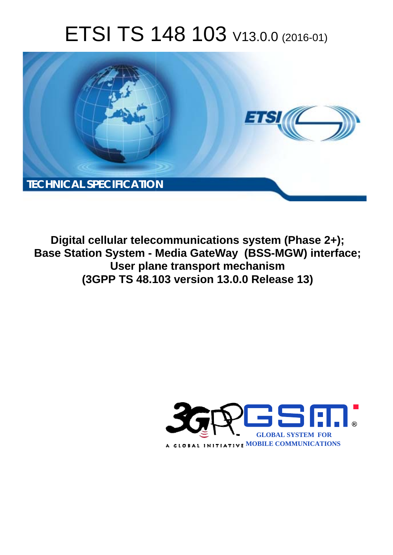# ETSI TS 148 103 V13.0.0 (2016-01)



**Digital cellular telecommunications system (Phase 2+); Base Station System - Media GateWay (BSS-MGW) interface; User plan lane transport mechanism (3GPP TS 48.1 .103 version 13.0.0 Release 13 13)** 

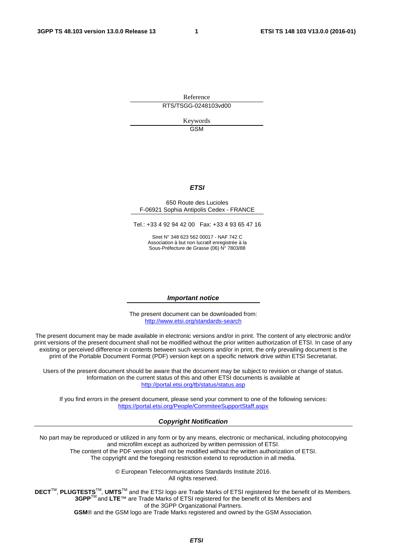Reference RTS/TSGG-0248103vd00

> Keywords GSM

#### *ETSI*

#### 650 Route des Lucioles F-06921 Sophia Antipolis Cedex - FRANCE

Tel.: +33 4 92 94 42 00 Fax: +33 4 93 65 47 16

Siret N° 348 623 562 00017 - NAF 742 C Association à but non lucratif enregistrée à la Sous-Préfecture de Grasse (06) N° 7803/88

#### *Important notice*

The present document can be downloaded from: <http://www.etsi.org/standards-search>

The present document may be made available in electronic versions and/or in print. The content of any electronic and/or print versions of the present document shall not be modified without the prior written authorization of ETSI. In case of any existing or perceived difference in contents between such versions and/or in print, the only prevailing document is the print of the Portable Document Format (PDF) version kept on a specific network drive within ETSI Secretariat.

Users of the present document should be aware that the document may be subject to revision or change of status. Information on the current status of this and other ETSI documents is available at <http://portal.etsi.org/tb/status/status.asp>

If you find errors in the present document, please send your comment to one of the following services: <https://portal.etsi.org/People/CommiteeSupportStaff.aspx>

#### *Copyright Notification*

No part may be reproduced or utilized in any form or by any means, electronic or mechanical, including photocopying and microfilm except as authorized by written permission of ETSI.

The content of the PDF version shall not be modified without the written authorization of ETSI. The copyright and the foregoing restriction extend to reproduction in all media.

> © European Telecommunications Standards Institute 2016. All rights reserved.

**DECT**TM, **PLUGTESTS**TM, **UMTS**TM and the ETSI logo are Trade Marks of ETSI registered for the benefit of its Members. **3GPP**TM and **LTE**™ are Trade Marks of ETSI registered for the benefit of its Members and of the 3GPP Organizational Partners.

**GSM**® and the GSM logo are Trade Marks registered and owned by the GSM Association.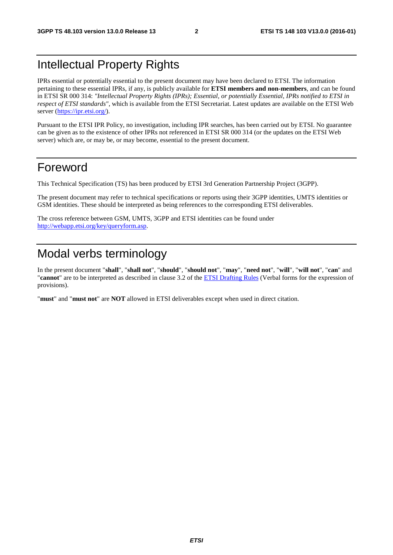# Intellectual Property Rights

IPRs essential or potentially essential to the present document may have been declared to ETSI. The information pertaining to these essential IPRs, if any, is publicly available for **ETSI members and non-members**, and can be found in ETSI SR 000 314: *"Intellectual Property Rights (IPRs); Essential, or potentially Essential, IPRs notified to ETSI in respect of ETSI standards"*, which is available from the ETSI Secretariat. Latest updates are available on the ETSI Web server ([https://ipr.etsi.org/\)](https://ipr.etsi.org/).

Pursuant to the ETSI IPR Policy, no investigation, including IPR searches, has been carried out by ETSI. No guarantee can be given as to the existence of other IPRs not referenced in ETSI SR 000 314 (or the updates on the ETSI Web server) which are, or may be, or may become, essential to the present document.

# Foreword

This Technical Specification (TS) has been produced by ETSI 3rd Generation Partnership Project (3GPP).

The present document may refer to technical specifications or reports using their 3GPP identities, UMTS identities or GSM identities. These should be interpreted as being references to the corresponding ETSI deliverables.

The cross reference between GSM, UMTS, 3GPP and ETSI identities can be found under [http://webapp.etsi.org/key/queryform.asp.](http://webapp.etsi.org/key/queryform.asp)

# Modal verbs terminology

In the present document "**shall**", "**shall not**", "**should**", "**should not**", "**may**", "**need not**", "**will**", "**will not**", "**can**" and "**cannot**" are to be interpreted as described in clause 3.2 of the [ETSI Drafting Rules](http://portal.etsi.org/Help/editHelp!/Howtostart/ETSIDraftingRules.aspx) (Verbal forms for the expression of provisions).

"**must**" and "**must not**" are **NOT** allowed in ETSI deliverables except when used in direct citation.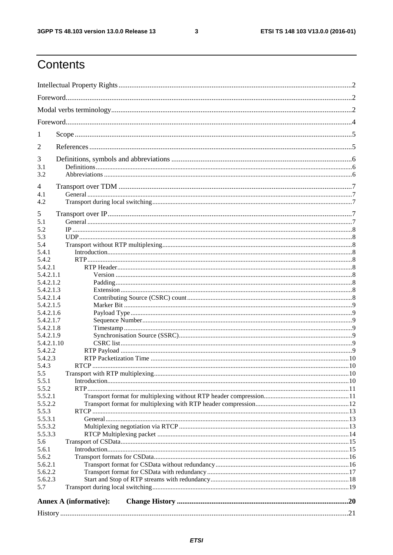$\mathbf{3}$ 

# Contents

| 1                  |                                  |  |  |  |  |  |  |
|--------------------|----------------------------------|--|--|--|--|--|--|
| 2                  |                                  |  |  |  |  |  |  |
| 3                  |                                  |  |  |  |  |  |  |
| 3.1                |                                  |  |  |  |  |  |  |
| 3.2                |                                  |  |  |  |  |  |  |
| 4                  |                                  |  |  |  |  |  |  |
| 4.1                |                                  |  |  |  |  |  |  |
| 4.2                |                                  |  |  |  |  |  |  |
|                    |                                  |  |  |  |  |  |  |
| 5<br>5.1           |                                  |  |  |  |  |  |  |
| 5.2                |                                  |  |  |  |  |  |  |
| 5.3                |                                  |  |  |  |  |  |  |
| 5.4                |                                  |  |  |  |  |  |  |
| 5.4.1              |                                  |  |  |  |  |  |  |
| 5.4.2              |                                  |  |  |  |  |  |  |
| 5.4.2.1            |                                  |  |  |  |  |  |  |
| 5.4.2.1.1          |                                  |  |  |  |  |  |  |
| 5.4.2.1.2          |                                  |  |  |  |  |  |  |
| 5.4.2.1.3          |                                  |  |  |  |  |  |  |
| 5.4.2.1.4          |                                  |  |  |  |  |  |  |
| 5.4.2.1.5          |                                  |  |  |  |  |  |  |
| 5.4.2.1.6          |                                  |  |  |  |  |  |  |
| 5.4.2.1.7          |                                  |  |  |  |  |  |  |
| 5.4.2.1.8          |                                  |  |  |  |  |  |  |
| 5.4.2.1.9          |                                  |  |  |  |  |  |  |
| 5.4.2.1.10         |                                  |  |  |  |  |  |  |
| 5.4.2.2<br>5.4.2.3 |                                  |  |  |  |  |  |  |
| 5.4.3              |                                  |  |  |  |  |  |  |
| 5.5                | Transport with RTP multiplexing. |  |  |  |  |  |  |
| 5.5.1              |                                  |  |  |  |  |  |  |
| 5.5.2              |                                  |  |  |  |  |  |  |
| 5.5.2.1            |                                  |  |  |  |  |  |  |
| 5.5.2.2            |                                  |  |  |  |  |  |  |
| 5.5.3              |                                  |  |  |  |  |  |  |
| 5.5.3.1            |                                  |  |  |  |  |  |  |
| 5.5.3.2            |                                  |  |  |  |  |  |  |
| 5.5.3.3            |                                  |  |  |  |  |  |  |
| 5.6                |                                  |  |  |  |  |  |  |
| 5.6.1              |                                  |  |  |  |  |  |  |
| 5.6.2              |                                  |  |  |  |  |  |  |
| 5.6.2.1            |                                  |  |  |  |  |  |  |
| 5.6.2.2            |                                  |  |  |  |  |  |  |
| 5.6.2.3            |                                  |  |  |  |  |  |  |
| 5.7                |                                  |  |  |  |  |  |  |
|                    | <b>Annex A (informative):</b>    |  |  |  |  |  |  |
|                    |                                  |  |  |  |  |  |  |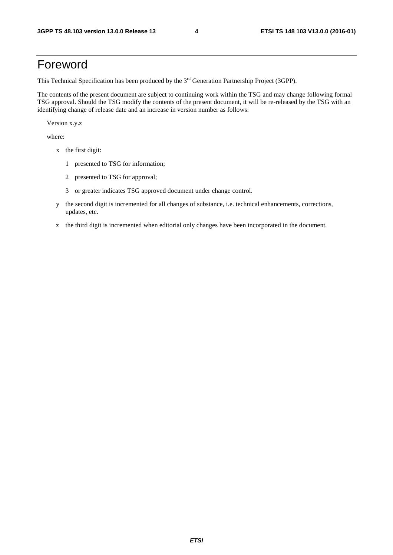# Foreword

This Technical Specification has been produced by the 3<sup>rd</sup> Generation Partnership Project (3GPP).

The contents of the present document are subject to continuing work within the TSG and may change following formal TSG approval. Should the TSG modify the contents of the present document, it will be re-released by the TSG with an identifying change of release date and an increase in version number as follows:

Version x.y.z

where:

- x the first digit:
	- 1 presented to TSG for information;
	- 2 presented to TSG for approval;
	- 3 or greater indicates TSG approved document under change control.
- y the second digit is incremented for all changes of substance, i.e. technical enhancements, corrections, updates, etc.
- z the third digit is incremented when editorial only changes have been incorporated in the document.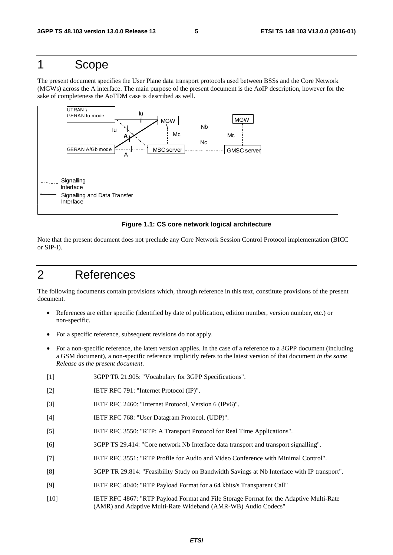# 1 Scope

The present document specifies the User Plane data transport protocols used between BSSs and the Core Network (MGWs) across the A interface. The main purpose of the present document is the AoIP description, however for the sake of completeness the AoTDM case is described as well.



#### **Figure 1.1: CS core network logical architecture**

Note that the present document does not preclude any Core Network Session Control Protocol implementation (BICC or SIP-I).

# 2 References

The following documents contain provisions which, through reference in this text, constitute provisions of the present document.

- References are either specific (identified by date of publication, edition number, version number, etc.) or non-specific.
- For a specific reference, subsequent revisions do not apply.
- For a non-specific reference, the latest version applies. In the case of a reference to a 3GPP document (including a GSM document), a non-specific reference implicitly refers to the latest version of that document *in the same Release as the present document*.
- [1] 3GPP TR 21.905: "Vocabulary for 3GPP Specifications".
- [2] IETF RFC 791: "Internet Protocol (IP)".
- [3] IETF RFC 2460: "Internet Protocol, Version 6 (IPv6)".
- [4] IETF RFC 768: "User Datagram Protocol. (UDP)".
- [5] IETF RFC 3550: "RTP: A Transport Protocol for Real Time Applications".
- [6] 3GPP TS 29.414: "Core network Nb Interface data transport and transport signalling".
- [7] IETF RFC 3551: "RTP Profile for Audio and Video Conference with Minimal Control".
- [8] 3GPP TR 29.814: "Feasibility Study on Bandwidth Savings at Nb Interface with IP transport".
- [9] IETF RFC 4040: "RTP Payload Format for a 64 kbits/s Transparent Call"
- [10] IETF RFC 4867: "RTP Payload Format and File Storage Format for the Adaptive Multi-Rate (AMR) and Adaptive Multi-Rate Wideband (AMR-WB) Audio Codecs"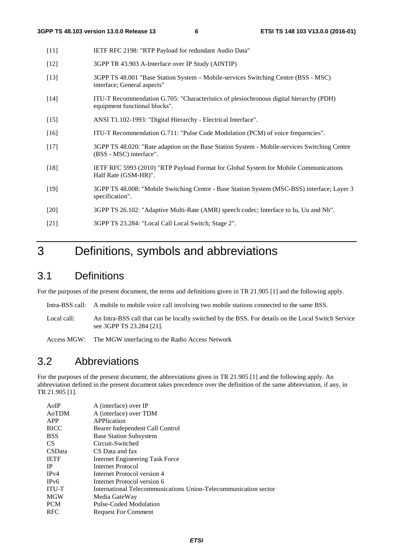| - [11]             | IETF RFC 2198: "RTP Payload for redundant Audio Data"                                                             |
|--------------------|-------------------------------------------------------------------------------------------------------------------|
| $\lceil 12 \rceil$ | 3GPP TR 43.903 A-Interface over IP Study (AINTIP)                                                                 |
| [13]               | 3GPP TS 48.001 "Base Station System – Mobile-services Switching Centre (BSS - MSC)<br>interface; General aspects" |

- [14] ITU-T Recommendation G.705: "Characteristics of plesiochronous digital hierarchy (PDH) equipment functional blocks".
- [15] ANSI T1.102-1993: "Digital Hierarchy Electrical Interface".
- [16] ITU-T Recommendation G.711: "Pulse Code Modulation (PCM) of voice frequencies".
- [17] 3GPP TS 48.020: "Rate adaption on the Base Station System Mobile-services Switching Centre (BSS - MSC) interface".
- [18] IETF RFC 5993 (2010) "RTP Payload Format for Global System for Mobile Communications Half Rate (GSM-HR)".
- [19] 3GPP TS 48.008: "Mobile Switching Centre Base Station System (MSC-BSS) interface; Layer 3 specification".
- [20] 3GPP TS 26.102: "Adaptive Multi-Rate (AMR) speech codec; Interface to Iu, Uu and Nb".
- [21] 3GPP TS 23.284: "Local Call Local Switch; Stage 2".

# 3 Definitions, symbols and abbreviations

# 3.1 Definitions

For the purposes of the present document, the terms and definitions given in TR 21.905 [1] and the following apply.

- Intra-BSS call: A mobile to mobile voice call involving two mobile stations connected to the same BSS.
- Local call: An Intra-BSS call that can be locally switched by the BSS. For details on the Local Switch Service see 3GPP TS 23.284 [21].

Access MGW: The MGW interfacing to the Radio Access Network

### 3.2 Abbreviations

For the purposes of the present document, the abbreviations given in TR 21.905 [1] and the following apply. An abbreviation defined in the present document takes precedence over the definition of the same abbreviation, if any, in TR 21.905 [1].

| A (interface) over IP                                           |
|-----------------------------------------------------------------|
| A (interface) over TDM                                          |
| APPlication                                                     |
| Bearer Independent Call Control                                 |
| <b>Base Station Subsystem</b>                                   |
| Circuit-Switched                                                |
| CS Data and fax                                                 |
| Internet Engineering Task Force                                 |
| Internet Protocol                                               |
| Internet Protocol version 4                                     |
| Internet Protocol version 6                                     |
| International Telecommunications Union-Telecommunication sector |
| Media GateWay                                                   |
| Pulse-Coded Modulation                                          |
| <b>Request For Comment</b>                                      |
|                                                                 |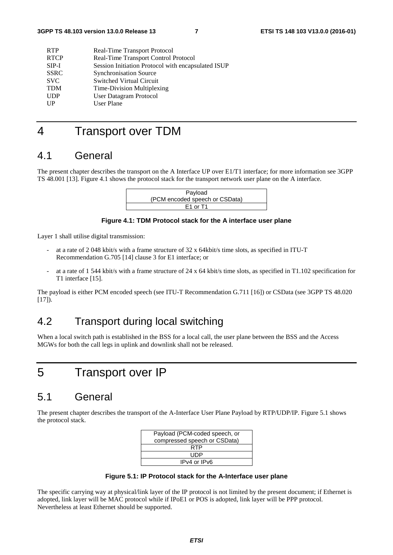| <b>RTP</b>  | Real-Time Transport Protocol                       |
|-------------|----------------------------------------------------|
| <b>RTCP</b> | Real-Time Transport Control Protocol               |
| $SIP-I$     | Session Initiation Protocol with encapsulated ISUP |
| <b>SSRC</b> | <b>Synchronisation Source</b>                      |
| <b>SVC</b>  | <b>Switched Virtual Circuit</b>                    |
| <b>TDM</b>  | Time-Division Multiplexing                         |
| <b>UDP</b>  | User Datagram Protocol                             |
| UP          | User Plane                                         |
|             |                                                    |

# 4 Transport over TDM

### 4.1 General

The present chapter describes the transport on the A Interface UP over E1/T1 interface; for more information see 3GPP TS 48.001 [13]. Figure 4.1 shows the protocol stack for the transport network user plane on the A interface.

| Payload                        |  |
|--------------------------------|--|
| (PCM encoded speech or CSData) |  |
| E1 or T1                       |  |

#### **Figure 4.1: TDM Protocol stack for the A interface user plane**

Layer 1 shall utilise digital transmission:

- at a rate of 2 048 kbit/s with a frame structure of 32 x 64kbit/s time slots, as specified in ITU-T Recommendation G.705 [14] clause 3 for E1 interface; or
- at a rate of 1 544 kbit/s with a frame structure of 24 x 64 kbit/s time slots, as specified in T1.102 specification for T1 interface [15].

The payload is either PCM encoded speech (see ITU-T Recommendation G.711 [16]) or CSData (see 3GPP TS 48.020 [17]).

# 4.2 Transport during local switching

When a local switch path is established in the BSS for a local call, the user plane between the BSS and the Access MGWs for both the call legs in uplink and downlink shall not be released.

# 5 Transport over IP

### 5.1 General

The present chapter describes the transport of the A-Interface User Plane Payload by RTP/UDP/IP. Figure 5.1 shows the protocol stack.

| Payload (PCM-coded speech, or |
|-------------------------------|
| compressed speech or CSData)  |
| RTP                           |
| LIDP                          |
| IPv4 or IPv6                  |

**Figure 5.1: IP Protocol stack for the A-Interface user plane** 

The specific carrying way at physical/link layer of the IP protocol is not limited by the present document; if Ethernet is adopted, link layer will be MAC protocol while if IPoE1 or POS is adopted, link layer will be PPP protocol. Nevertheless at least Ethernet should be supported.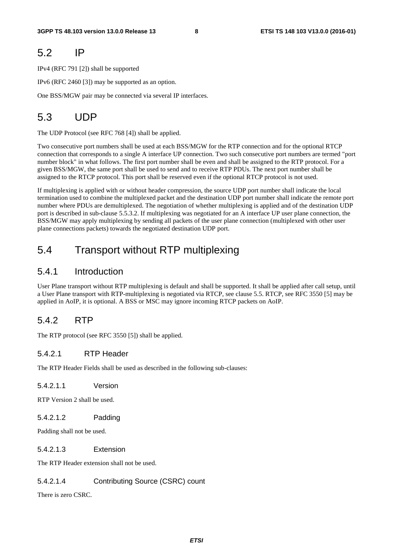# 5.2 IP

IPv4 (RFC 791 [2]) shall be supported

IPv6 (RFC 2460 [3]) may be supported as an option.

One BSS/MGW pair may be connected via several IP interfaces.

# 5.3 UDP

The UDP Protocol (see RFC 768 [4]) shall be applied.

Two consecutive port numbers shall be used at each BSS/MGW for the RTP connection and for the optional RTCP connection that corresponds to a single A interface UP connection. Two such consecutive port numbers are termed "port number block" in what follows. The first port number shall be even and shall be assigned to the RTP protocol. For a given BSS/MGW, the same port shall be used to send and to receive RTP PDUs. The next port number shall be assigned to the RTCP protocol. This port shall be reserved even if the optional RTCP protocol is not used.

If multiplexing is applied with or without header compression, the source UDP port number shall indicate the local termination used to combine the multiplexed packet and the destination UDP port number shall indicate the remote port number where PDUs are demultiplexed. The negotiation of whether multiplexing is applied and of the destination UDP port is described in sub-clause 5.5.3.2. If multiplexing was negotiated for an A interface UP user plane connection, the BSS/MGW may apply multiplexing by sending all packets of the user plane connection (multiplexed with other user plane connections packets) towards the negotiated destination UDP port.

# 5.4 Transport without RTP multiplexing

### 5.4.1 Introduction

User Plane transport without RTP multiplexing is default and shall be supported. It shall be applied after call setup, until a User Plane transport with RTP-multiplexing is negotiated via RTCP, see clause 5.5. RTCP, see RFC 3550 [5] may be applied in AoIP, it is optional. A BSS or MSC may ignore incoming RTCP packets on AoIP.

### 5.4.2 RTP

The RTP protocol (see RFC 3550 [5]) shall be applied.

#### 5.4.2.1 RTP Header

The RTP Header Fields shall be used as described in the following sub-clauses:

5.4.2.1.1 Version

RTP Version 2 shall be used.

5.4.2.1.2 Padding

Padding shall not be used.

5.4.2.1.3 Extension

The RTP Header extension shall not be used.

#### 5.4.2.1.4 Contributing Source (CSRC) count

There is zero CSRC.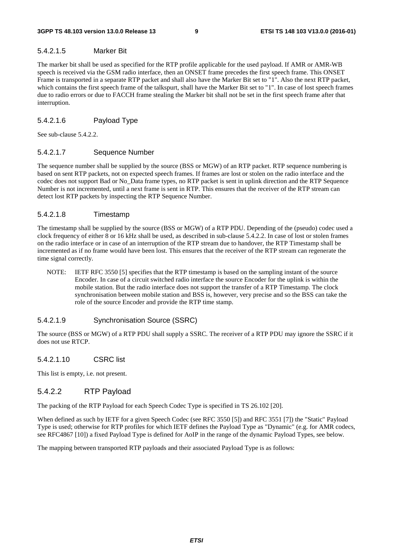#### 5.4.2.1.5 Marker Bit

The marker bit shall be used as specified for the RTP profile applicable for the used payload. If AMR or AMR-WB speech is received via the GSM radio interface, then an ONSET frame precedes the first speech frame. This ONSET Frame is transported in a separate RTP packet and shall also have the Marker Bit set to "1". Also the next RTP packet, which contains the first speech frame of the talkspurt, shall have the Marker Bit set to "1". In case of lost speech frames due to radio errors or due to FACCH frame stealing the Marker bit shall not be set in the first speech frame after that interruption.

#### 5.4.2.1.6 Payload Type

See sub-clause 5.4.2.2.

#### 5.4.2.1.7 Sequence Number

The sequence number shall be supplied by the source (BSS or MGW) of an RTP packet. RTP sequence numbering is based on sent RTP packets, not on expected speech frames. If frames are lost or stolen on the radio interface and the codec does not support Bad or No\_Data frame types, no RTP packet is sent in uplink direction and the RTP Sequence Number is not incremented, until a next frame is sent in RTP. This ensures that the receiver of the RTP stream can detect lost RTP packets by inspecting the RTP Sequence Number.

#### 5.4.2.1.8 Timestamp

The timestamp shall be supplied by the source (BSS or MGW) of a RTP PDU. Depending of the (pseudo) codec used a clock frequency of either 8 or 16 kHz shall be used, as described in sub-clause 5.4.2.2. In case of lost or stolen frames on the radio interface or in case of an interruption of the RTP stream due to handover, the RTP Timestamp shall be incremented as if no frame would have been lost. This ensures that the receiver of the RTP stream can regenerate the time signal correctly.

NOTE:IETF RFC 3550 [5] specifies that the RTP timestamp is based on the sampling instant of the source Encoder. In case of a circuit switched radio interface the source Encoder for the uplink is within the mobile station. But the radio interface does not support the transfer of a RTP Timestamp. The clock synchronisation between mobile station and BSS is, however, very precise and so the BSS can take the role of the source Encoder and provide the RTP time stamp.

#### 5.4.2.1.9 Synchronisation Source (SSRC)

The source (BSS or MGW) of a RTP PDU shall supply a SSRC. The receiver of a RTP PDU may ignore the SSRC if it does not use RTCP.

#### 5.4.2.1.10 CSRC list

This list is empty, i.e. not present.

#### 5.4.2.2 RTP Payload

The packing of the RTP Payload for each Speech Codec Type is specified in TS 26.102 [20].

When defined as such by IETF for a given Speech Codec (see RFC 3550 [5]) and RFC 3551 [7]) the "Static" Payload Type is used; otherwise for RTP profiles for which IETF defines the Payload Type as "Dynamic" (e.g. for AMR codecs, see RFC4867 [10]) a fixed Payload Type is defined for AoIP in the range of the dynamic Payload Types, see below.

The mapping between transported RTP payloads and their associated Payload Type is as follows: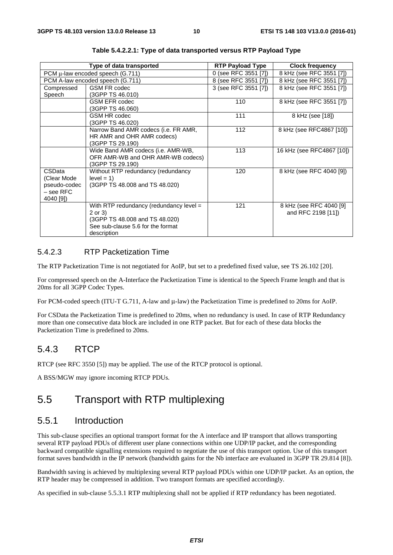|                           | Type of data transported                                                           | <b>RTP Payload Type</b> | <b>Clock frequency</b>                        |
|---------------------------|------------------------------------------------------------------------------------|-------------------------|-----------------------------------------------|
|                           | PCM µ-law encoded speech (G.711)                                                   | 0 (see RFC 3551 [7])    | 8 kHz (see RFC 3551 [7])                      |
|                           | PCM A-law encoded speech (G.711)                                                   | 8 (see RFC 3551 [7])    | 8 kHz (see RFC 3551 [7])                      |
| Compressed                | <b>GSM FR codec</b>                                                                | 3 (see RFC 3551 [7])    | 8 kHz (see RFC 3551 [7])                      |
| Speech                    | (3GPP TS 46.010)                                                                   |                         |                                               |
|                           | <b>GSM EFR codec</b>                                                               | 110                     | 8 kHz (see RFC 3551 [7])                      |
|                           | (3GPP TS 46.060)                                                                   |                         |                                               |
|                           | <b>GSM HR codec</b>                                                                | 111                     | 8 kHz (see [18])                              |
|                           | (3GPP TS 46.020)                                                                   |                         |                                               |
|                           | Narrow Band AMR codecs (i.e. FR AMR,                                               | 112                     | 8 kHz (see RFC4867 [10])                      |
|                           | HR AMR and OHR AMR codecs)                                                         |                         |                                               |
|                           | (3GPP TS 29.190)                                                                   |                         |                                               |
|                           | Wide Band AMR codecs (i.e. AMR-WB,                                                 | 113                     | 16 kHz (see RFC4867 [10])                     |
|                           | OFR AMR-WB and OHR AMR-WB codecs)                                                  |                         |                                               |
|                           | (3GPP TS 29.190)                                                                   |                         |                                               |
| CSData                    | Without RTP redundancy (redundancy                                                 | 120                     | 8 kHz (see RFC 4040 [9])                      |
| (Clear Mode               | $level = 1$                                                                        |                         |                                               |
| pseudo-codec<br>– see RFC | (3GPP TS 48.008 and TS 48.020)                                                     |                         |                                               |
| 4040 [9])                 |                                                                                    |                         |                                               |
|                           |                                                                                    | 121                     |                                               |
|                           | With RTP redundancy (redundancy level $=$<br>2 or 3)                               |                         | 8 kHz (see RFC 4040 [9]<br>and RFC 2198 [11]) |
|                           |                                                                                    |                         |                                               |
|                           |                                                                                    |                         |                                               |
|                           |                                                                                    |                         |                                               |
|                           | (3GPP TS 48.008 and TS 48.020)<br>See sub-clause 5.6 for the format<br>description |                         |                                               |

**Table 5.4.2.2.1: Type of data transported versus RTP Payload Type** 

#### 5.4.2.3 RTP Packetization Time

The RTP Packetization Time is not negotiated for AoIP, but set to a predefined fixed value, see TS 26.102 [20].

For compressed speech on the A-Interface the Packetization Time is identical to the Speech Frame length and that is 20ms for all 3GPP Codec Types.

For PCM-coded speech (ITU-T G.711, A-law and μ-law) the Packetization Time is predefined to 20ms for AoIP.

For CSData the Packetization Time is predefined to 20ms, when no redundancy is used. In case of RTP Redundancy more than one consecutive data block are included in one RTP packet. But for each of these data blocks the Packetization Time is predefined to 20ms.

### 5.4.3 RTCP

RTCP (see RFC 3550 [5]) may be applied. The use of the RTCP protocol is optional.

A BSS/MGW may ignore incoming RTCP PDUs.

### 5.5 Transport with RTP multiplexing

### 5.5.1 Introduction

This sub-clause specifies an optional transport format for the A interface and IP transport that allows transporting several RTP payload PDUs of different user plane connections within one UDP/IP packet, and the corresponding backward compatible signalling extensions required to negotiate the use of this transport option. Use of this transport format saves bandwidth in the IP network (bandwidth gains for the Nb interface are evaluated in 3GPP TR 29.814 [8]).

Bandwidth saving is achieved by multiplexing several RTP payload PDUs within one UDP/IP packet. As an option, the RTP header may be compressed in addition. Two transport formats are specified accordingly.

As specified in sub-clause 5.5.3.1 RTP multiplexing shall not be applied if RTP redundancy has been negotiated.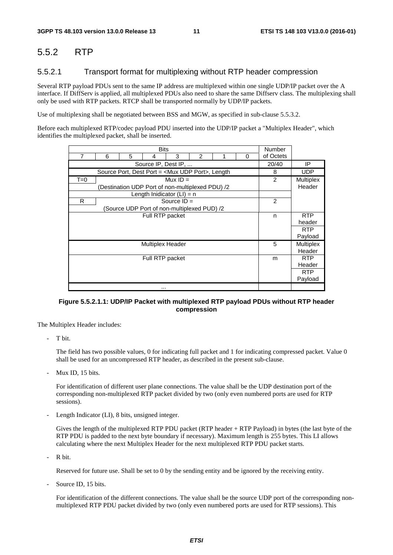### 5.5.2 RTP

#### 5.5.2.1 Transport format for multiplexing without RTP header compression

Several RTP payload PDUs sent to the same IP address are multiplexed within one single UDP/IP packet over the A interface. If DiffServ is applied, all multiplexed PDUs also need to share the same Diffserv class. The multiplexing shall only be used with RTP packets. RTCP shall be transported normally by UDP/IP packets.

Use of multiplexing shall be negotiated between BSS and MGW, as specified in sub-clause 5.5.3.2.

Before each multiplexed RTP/codec payload PDU inserted into the UDP/IP packet a "Multiplex Header", which identifies the multiplexed packet, shall be inserted.

| <b>Bits</b>     |                                                             |                                                 |                         |                              |                |  |   |            |                  |  |  |  |
|-----------------|-------------------------------------------------------------|-------------------------------------------------|-------------------------|------------------------------|----------------|--|---|------------|------------------|--|--|--|
| 7               | 6                                                           | 5                                               | 4                       | 3                            | $\overline{2}$ |  | 0 | of Octets  |                  |  |  |  |
|                 |                                                             | 20/40                                           | IP                      |                              |                |  |   |            |                  |  |  |  |
|                 | Source Port, Dest Port = <mux port="" udp="">, Length</mux> | 8                                               | <b>UDP</b>              |                              |                |  |   |            |                  |  |  |  |
| $T=0$           |                                                             |                                                 |                         | Mux $ID =$                   |                |  |   | 2          | <b>Multiplex</b> |  |  |  |
|                 |                                                             | Destination UDP Port of non-multiplexed PDU) /2 |                         |                              |                |  |   |            | Header           |  |  |  |
|                 |                                                             |                                                 |                         | Length Inidicator $(LI) = n$ |                |  |   |            |                  |  |  |  |
| R               |                                                             |                                                 |                         | Source $ID =$                |                |  |   | 2          |                  |  |  |  |
|                 |                                                             | (Source UDP Port of non-multiplexed PUD) /2     |                         |                              |                |  |   |            |                  |  |  |  |
| Full RTP packet |                                                             |                                                 |                         |                              |                |  | n | <b>RTP</b> |                  |  |  |  |
|                 |                                                             |                                                 |                         |                              |                |  |   |            | header           |  |  |  |
|                 |                                                             |                                                 |                         |                              |                |  |   |            | <b>RTP</b>       |  |  |  |
|                 |                                                             |                                                 | Payload                 |                              |                |  |   |            |                  |  |  |  |
|                 |                                                             |                                                 | <b>Multiplex Header</b> |                              |                |  |   | 5          | Multiplex        |  |  |  |
|                 |                                                             |                                                 |                         |                              |                |  |   |            | Header           |  |  |  |
|                 |                                                             |                                                 | Full RTP packet         |                              |                |  |   | m          | <b>RTP</b>       |  |  |  |
|                 |                                                             |                                                 |                         |                              |                |  |   |            | Header           |  |  |  |
|                 |                                                             |                                                 |                         |                              |                |  |   |            | <b>RTP</b>       |  |  |  |
|                 |                                                             |                                                 |                         |                              |                |  |   |            | Payload          |  |  |  |
|                 |                                                             |                                                 | $\cdots$                |                              |                |  |   |            |                  |  |  |  |

#### **Figure 5.5.2.1.1: UDP/IP Packet with multiplexed RTP payload PDUs without RTP header compression**

The Multiplex Header includes:

T bit.

 The field has two possible values, 0 for indicating full packet and 1 for indicating compressed packet. Value 0 shall be used for an uncompressed RTP header, as described in the present sub-clause.

Mux ID, 15 bits.

 For identification of different user plane connections. The value shall be the UDP destination port of the corresponding non-multiplexed RTP packet divided by two (only even numbered ports are used for RTP sessions).

Length Indicator (LI), 8 bits, unsigned integer.

 Gives the length of the multiplexed RTP PDU packet (RTP header + RTP Payload) in bytes (the last byte of the RTP PDU is padded to the next byte boundary if necessary). Maximum length is 255 bytes. This LI allows calculating where the next Multiplex Header for the next multiplexed RTP PDU packet starts.

R bit.

Reserved for future use. Shall be set to 0 by the sending entity and be ignored by the receiving entity.

Source ID, 15 bits.

 For identification of the different connections. The value shall be the source UDP port of the corresponding nonmultiplexed RTP PDU packet divided by two (only even numbered ports are used for RTP sessions). This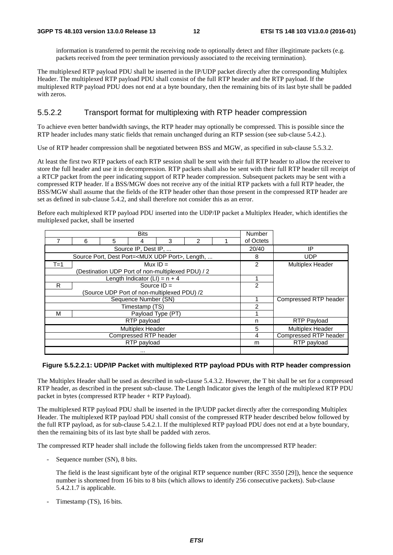information is transferred to permit the receiving node to optionally detect and filter illegitimate packets (e.g. packets received from the peer termination previously associated to the receiving termination).

The multiplexed RTP payload PDU shall be inserted in the IP/UDP packet directly after the corresponding Multiplex Header. The multiplexed RTP payload PDU shall consist of the full RTP header and the RTP payload. If the multiplexed RTP payload PDU does not end at a byte boundary, then the remaining bits of its last byte shall be padded with zeros.

#### 5.5.2.2 Transport format for multiplexing with RTP header compression

To achieve even better bandwidth savings, the RTP header may optionally be compressed. This is possible since the RTP header includes many static fields that remain unchanged during an RTP session (see sub-clause 5.4.2.).

Use of RTP header compression shall be negotiated between BSS and MGW, as specified in sub-clause 5.5.3.2.

At least the first two RTP packets of each RTP session shall be sent with their full RTP header to allow the receiver to store the full header and use it in decompression. RTP packets shall also be sent with their full RTP header till receipt of a RTCP packet from the peer indicating support of RTP header compression. Subsequent packets may be sent with a compressed RTP header. If a BSS/MGW does not receive any of the initial RTP packets with a full RTP header, the BSS/MGW shall assume that the fields of the RTP header other than those present in the compressed RTP header are set as defined in sub-clause 5.4.2, and shall therefore not consider this as an error.

Before each multiplexed RTP payload PDU inserted into the UDP/IP packet a Multiplex Header, which identifies the multiplexed packet, shall be inserted

|                         |   |                                                              | <b>Number</b>                                     |            |  |  |                |                         |
|-------------------------|---|--------------------------------------------------------------|---------------------------------------------------|------------|--|--|----------------|-------------------------|
|                         | 6 | 5                                                            |                                                   | of Octets  |  |  |                |                         |
|                         |   | Source IP, Dest IP,                                          | 20/40                                             | IP         |  |  |                |                         |
|                         |   | Source Port, Dest Port= <mux port="" udp="">, Length, </mux> | 8                                                 | <b>UDP</b> |  |  |                |                         |
| $T=1$                   |   |                                                              | Mux $ID =$                                        |            |  |  | 2              | <b>Multiplex Header</b> |
|                         |   |                                                              | (Destination UDP Port of non-multiplexed PDU) / 2 |            |  |  |                |                         |
|                         |   |                                                              | Length Indicator (LI) = $n + 4$                   |            |  |  |                |                         |
| R                       |   |                                                              | Source $ID =$                                     |            |  |  | $\overline{c}$ |                         |
|                         |   |                                                              | (Source UDP Port of non-multiplexed PDU) /2       |            |  |  |                |                         |
|                         |   |                                                              | Sequence Number (SN)                              |            |  |  |                | Compressed RTP header   |
|                         |   |                                                              | Timestamp (TS)                                    |            |  |  | 2              |                         |
| М                       |   |                                                              | Payload Type (PT)                                 |            |  |  |                |                         |
|                         |   |                                                              | RTP payload                                       |            |  |  | n              | <b>RTP Payload</b>      |
| <b>Multiplex Header</b> |   |                                                              |                                                   |            |  |  | 5              | <b>Multiplex Header</b> |
| Compressed RTP header   |   |                                                              |                                                   |            |  |  | 4              | Compressed RTP header   |
|                         |   |                                                              | RTP payload                                       |            |  |  | m              | RTP payload             |
|                         |   |                                                              |                                                   |            |  |  |                |                         |

#### **Figure 5.5.2.2.1: UDP/IP Packet with multiplexed RTP payload PDUs with RTP header compression**

The Multiplex Header shall be used as described in sub-clause 5.4.3.2. However, the T bit shall be set for a compressed RTP header, as described in the present sub-clause. The Length Indicator gives the length of the multiplexed RTP PDU packet in bytes (compressed RTP header + RTP Payload).

The multiplexed RTP payload PDU shall be inserted in the IP/UDP packet directly after the corresponding Multiplex Header. The multiplexed RTP payload PDU shall consist of the compressed RTP header described below followed by the full RTP payload, as for sub-clause 5.4.2.1. If the multiplexed RTP payload PDU does not end at a byte boundary, then the remaining bits of its last byte shall be padded with zeros.

The compressed RTP header shall include the following fields taken from the uncompressed RTP header:

- Sequence number (SN), 8 bits.

 The field is the least significant byte of the original RTP sequence number (RFC 3550 [29]), hence the sequence number is shortened from 16 bits to 8 bits (which allows to identify 256 consecutive packets). Sub-clause 5.4.2.1.7 is applicable.

Timestamp (TS), 16 bits.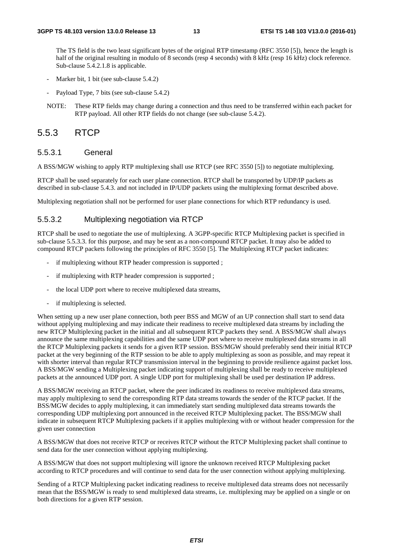The TS field is the two least significant bytes of the original RTP timestamp (RFC 3550 [5]), hence the length is half of the original resulting in modulo of 8 seconds (resp 4 seconds) with 8 kHz (resp 16 kHz) clock reference. Sub-clause 5.4.2.1.8 is applicable.

- Marker bit, 1 bit (see sub-clause 5.4.2)
- Payload Type, 7 bits (see sub-clause 5.4.2)
- NOTE: These RTP fields may change during a connection and thus need to be transferred within each packet for RTP payload. All other RTP fields do not change (see sub-clause 5.4.2).

### 5.5.3 RTCP

#### 5.5.3.1 General

A BSS/MGW wishing to apply RTP multiplexing shall use RTCP (see RFC 3550 [5]) to negotiate multiplexing.

RTCP shall be used separately for each user plane connection. RTCP shall be transported by UDP/IP packets as described in sub-clause 5.4.3. and not included in IP/UDP packets using the multiplexing format described above.

Multiplexing negotiation shall not be performed for user plane connections for which RTP redundancy is used.

#### 5.5.3.2 Multiplexing negotiation via RTCP

RTCP shall be used to negotiate the use of multiplexing. A 3GPP-specific RTCP Multiplexing packet is specified in sub-clause 5.5.3.3. for this purpose, and may be sent as a non-compound RTCP packet. It may also be added to compound RTCP packets following the principles of RFC 3550 [5]. The Multiplexing RTCP packet indicates:

- if multiplexing without RTP header compression is supported;
- if multiplexing with RTP header compression is supported;
- the local UDP port where to receive multiplexed data streams,
- if multiplexing is selected.

When setting up a new user plane connection, both peer BSS and MGW of an UP connection shall start to send data without applying multiplexing and may indicate their readiness to receive multiplexed data streams by including the new RTCP Multiplexing packet in the initial and all subsequent RTCP packets they send. A BSS/MGW shall always announce the same multiplexing capabilities and the same UDP port where to receive multiplexed data streams in all the RTCP Multiplexing packets it sends for a given RTP session. BSS/MGW should preferably send their initial RTCP packet at the very beginning of the RTP session to be able to apply multiplexing as soon as possible, and may repeat it with shorter interval than regular RTCP transmission interval in the beginning to provide resilience against packet loss. A BSS/MGW sending a Multiplexing packet indicating support of multiplexing shall be ready to receive multiplexed packets at the announced UDP port. A single UDP port for multiplexing shall be used per destination IP address.

A BSS/MGW receiving an RTCP packet, where the peer indicated its readiness to receive multiplexed data streams, may apply multiplexing to send the corresponding RTP data streams towards the sender of the RTCP packet. If the BSS/MGW decides to apply multiplexing, it can immediately start sending multiplexed data streams towards the corresponding UDP multiplexing port announced in the received RTCP Multiplexing packet. The BSS/MGW shall indicate in subsequent RTCP Multiplexing packets if it applies multiplexing with or without header compression for the given user connection

A BSS/MGW that does not receive RTCP or receives RTCP without the RTCP Multiplexing packet shall continue to send data for the user connection without applying multiplexing.

A BSS/MGW that does not support multiplexing will ignore the unknown received RTCP Multiplexing packet according to RTCP procedures and will continue to send data for the user connection without applying multiplexing.

Sending of a RTCP Multiplexing packet indicating readiness to receive multiplexed data streams does not necessarily mean that the BSS/MGW is ready to send multiplexed data streams, i.e. multiplexing may be applied on a single or on both directions for a given RTP session.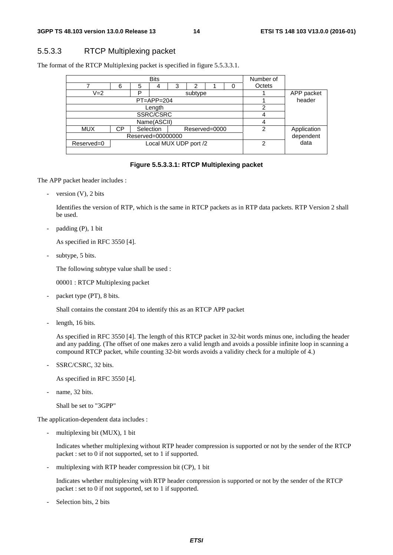### 5.5.3.3 RTCP Multiplexing packet

The format of the RTCP Multiplexing packet is specified in figure 5.5.3.3.1.

|                                     |                                  | Number of |             |   |   |  |   |             |        |
|-------------------------------------|----------------------------------|-----------|-------------|---|---|--|---|-------------|--------|
|                                     | 6                                | 5         | 4           | 3 | າ |  |   | Octets      |        |
| $V = 2$<br>רו<br>subtype            |                                  |           |             |   |   |  |   | APP packet  |        |
| $PT = APP = 204$                    |                                  |           |             |   |   |  |   |             | header |
|                                     |                                  |           | っ           |   |   |  |   |             |        |
|                                     |                                  |           | SSRC/CSRC   |   |   |  |   | 4           |        |
|                                     |                                  |           | Name(ASCII) |   |   |  |   | 4           |        |
| <b>MUX</b>                          | Selection<br>СP<br>Reserved=0000 |           |             |   |   |  | 2 | Application |        |
|                                     | Reserved=00000000                |           | dependent   |   |   |  |   |             |        |
| Local MUX UDP port /2<br>Reserved=0 |                                  |           |             |   |   |  | 2 | data        |        |
|                                     |                                  |           |             |   |   |  |   |             |        |

#### **Figure 5.5.3.3.1: RTCP Multiplexing packet**

The APP packet header includes :

- version (V), 2 bits

 Identifies the version of RTP, which is the same in RTCP packets as in RTP data packets. RTP Version 2 shall be used.

 $padding (P), 1 bit$ 

As specified in RFC 3550 [4].

subtype, 5 bits.

The following subtype value shall be used :

00001 : RTCP Multiplexing packet

packet type (PT), 8 bits.

Shall contains the constant 204 to identify this as an RTCP APP packet

length, 16 bits.

 As specified in RFC 3550 [4]. The length of this RTCP packet in 32-bit words minus one, including the header and any padding. (The offset of one makes zero a valid length and avoids a possible infinite loop in scanning a compound RTCP packet, while counting 32-bit words avoids a validity check for a multiple of 4.)

SSRC/CSRC, 32 bits.

As specified in RFC 3550 [4].

name, 32 bits.

Shall be set to "3GPP"

The application-dependent data includes :

multiplexing bit (MUX), 1 bit

 Indicates whether multiplexing without RTP header compression is supported or not by the sender of the RTCP packet : set to 0 if not supported, set to 1 if supported.

multiplexing with RTP header compression bit (CP), 1 bit

 Indicates whether multiplexing with RTP header compression is supported or not by the sender of the RTCP packet : set to 0 if not supported, set to 1 if supported.

Selection bits, 2 bits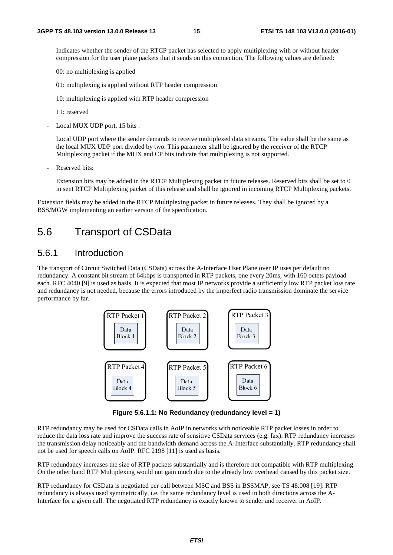Indicates whether the sender of the RTCP packet has selected to apply multiplexing with or without header compression for the user plane packets that it sends on this connection. The following values are defined:

00: no multiplexing is applied

01: multiplexing is applied without RTP header compression

10: multiplexing is applied with RTP header compression

11: reserved

Local MUX UDP port, 15 bits :

 Local UDP port where the sender demands to receive multiplexed data streams. The value shall be the same as the local MUX UDP port divided by two. This parameter shall be ignored by the receiver of the RTCP Multiplexing packet if the MUX and CP bits indicate that multiplexing is not supported.

Reserved bits:

 Extension bits may be added in the RTCP Multiplexing packet in future releases. Reserved bits shall be set to 0 in sent RTCP Multiplexing packet of this release and shall be ignored in incoming RTCP Multiplexing packets.

Extension fields may be added in the RTCP Multiplexing packet in future releases. They shall be ignored by a BSS/MGW implementing an earlier version of the specification.

# 5.6 Transport of CSData

### 5.6.1 Introduction

The transport of Circuit Switched Data (CSData) across the A-Interface User Plane over IP uses per default no redundancy. A constant bit stream of 64kbps is transported in RTP packets, one every 20ms, with 160 octets payload each. RFC 4040 [9] is used as basis. It is expected that most IP networks provide a sufficiently low RTP packet loss rate and redundancy is not needed, because the errors introduced by the imperfect radio transmission dominate the service performance by far.



**Figure 5.6.1.1: No Redundancy (redundancy level = 1)** 

RTP redundancy may be used for CSData calls in AoIP in networks with noticeable RTP packet losses in order to reduce the data loss rate and improve the success rate of sensitive CSData services (e.g. fax). RTP redundancy increases the transmission delay noticeably and the bandwidth demand across the A-Interface substantially. RTP redundancy shall not be used for speech calls on AoIP. RFC 2198 [11] is used as basis.

RTP redundancy increases the size of RTP packets substantially and is therefore not compatible with RTP multiplexing. On the other hand RTP Multiplexing would not gain much due to the already low overhead caused by this packet size.

RTP redundancy for CSData is negotiated per call between MSC and BSS in BSSMAP, see TS 48.008 [19]. RTP redundancy is always used symmetrically, i.e. the same redundancy level is used in both directions across the A-Interface for a given call. The negotiated RTP redundancy is exactly known to sender and receiver in AoIP.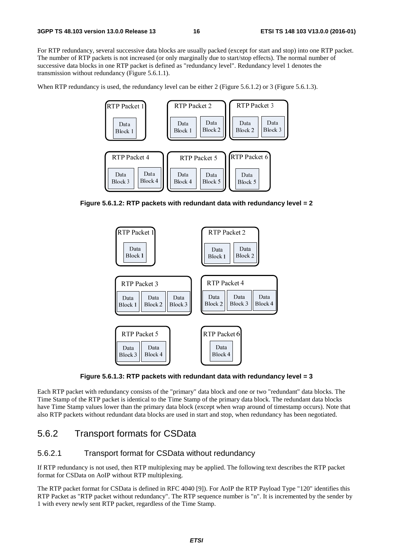For RTP redundancy, several successive data blocks are usually packed (except for start and stop) into one RTP packet. The number of RTP packets is not increased (or only marginally due to start/stop effects). The normal number of successive data blocks in one RTP packet is defined as "redundancy level". Redundancy level 1 denotes the transmission without redundancy (Figure 5.6.1.1).

When RTP redundancy is used, the redundancy level can be either 2 (Figure 5.6.1.2) or 3 (Figure 5.6.1.3).



**Figure 5.6.1.2: RTP packets with redundant data with redundancy level = 2**



**Figure 5.6.1.3: RTP packets with redundant data with redundancy level = 3** 

Each RTP packet with redundancy consists of the "primary" data block and one or two "redundant" data blocks. The Time Stamp of the RTP packet is identical to the Time Stamp of the primary data block. The redundant data blocks have Time Stamp values lower than the primary data block (except when wrap around of timestamp occurs). Note that also RTP packets without redundant data blocks are used in start and stop, when redundancy has been negotiated.

### 5.6.2 Transport formats for CSData

#### 5.6.2.1 Transport format for CSData without redundancy

If RTP redundancy is not used, then RTP multiplexing may be applied. The following text describes the RTP packet format for CSData on AoIP without RTP multiplexing.

The RTP packet format for CSData is defined in RFC 4040 [9]). For AoIP the RTP Payload Type "120" identifies this RTP Packet as "RTP packet without redundancy". The RTP sequence number is "n". It is incremented by the sender by 1 with every newly sent RTP packet, regardless of the Time Stamp.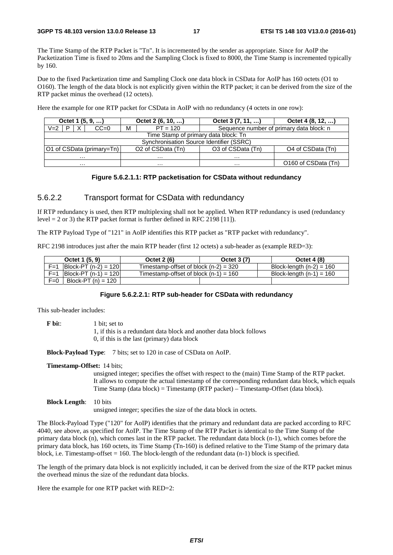The Time Stamp of the RTP Packet is "Tn". It is incremented by the sender as appropriate. Since for AoIP the Packetization Time is fixed to 20ms and the Sampling Clock is fixed to 8000, the Time Stamp is incremented typically by 160.

Due to the fixed Packetization time and Sampling Clock one data block in CSData for AoIP has 160 octets (O1 to O160). The length of the data block is not explicitly given within the RTP packet; it can be derived from the size of the RTP packet minus the overhead (12 octets).

Here the example for one RTP packet for CSData in AoIP with no redundancy (4 octets in one row):

| Octet 1 $(5, 9, )$ |                                                                                                                  |   | Octet $2(6, 10, )$                       | Octet 3 (7, 11, ) | Octet 4 (8, 12, )                        |  |  |  |  |
|--------------------|------------------------------------------------------------------------------------------------------------------|---|------------------------------------------|-------------------|------------------------------------------|--|--|--|--|
| $V = 2$            | $CC=0$                                                                                                           | м | $PT = 120$                               |                   | Sequence number of primary data block: n |  |  |  |  |
|                    | Time Stamp of primary data block: Tn                                                                             |   |                                          |                   |                                          |  |  |  |  |
|                    |                                                                                                                  |   | Synchronisation Source Identifier (SSRC) |                   |                                          |  |  |  |  |
|                    | O <sub>2</sub> of CSData (Tn)<br>O3 of CSData (Tn)<br>O1 of CSData (primary=Tn)<br>O <sub>4</sub> of CSData (Tn) |   |                                          |                   |                                          |  |  |  |  |
|                    | $\cdots$<br>$\cdots$<br>$\cdots$                                                                                 |   |                                          |                   |                                          |  |  |  |  |
| $\cdots$           |                                                                                                                  |   | $\cdots$                                 | $\cdots$          | O160 of CSData (Tn)                      |  |  |  |  |

#### **Figure 5.6.2.1.1: RTP packetisation for CSData without redundancy**

#### 5.6.2.2 Transport format for CSData with redundancy

If RTP redundancy is used, then RTP multiplexing shall not be applied. When RTP redundancy is used (redundancy level = 2 or 3) the RTP packet format is further defined in RFC 2198 [11]).

The RTP Payload Type of "121" in AoIP identifies this RTP packet as "RTP packet with redundancy".

RFC 2198 introduces just after the main RTP header (first 12 octets) a sub-header as (example RED=3):

|         | Octet 1 (5, 9)                       | Octet 2 (6)                             | Octet 3 (7) | <b>Octet 4 (8)</b>         |
|---------|--------------------------------------|-----------------------------------------|-------------|----------------------------|
| $F = 1$ | $ Block-PT (n-2) = 120 $             | Timestamp-offset of block $(n-2) = 320$ |             | Block-length $(n-2) = 160$ |
| $F=1$   | $\vert$ Block-PT (n-1) = 120 $\vert$ | Timestamp-offset of block $(n-1) = 160$ |             | Block-length $(n-1) = 160$ |
| $F=0$   | Block-PT $(n) = 120$                 |                                         |             |                            |

#### **Figure 5.6.2.2.1: RTP sub-header for CSData with redundancy**

This sub-header includes:

**F** bit: 1 bit: set to 1, if this is a redundant data block and another data block follows 0, if this is the last (primary) data block

**Block-Payload Type**: 7 bits; set to 120 in case of CSData on AoIP.

#### **Timestamp-Offset:** 14 bits;

unsigned integer; specifies the offset with respect to the (main) Time Stamp of the RTP packet. It allows to compute the actual timestamp of the corresponding redundant data block, which equals Time Stamp (data block) = Timestamp (RTP packet) – Timestamp-Offset (data block).

#### **Block Length:** 10 bits

unsigned integer; specifies the size of the data block in octets.

The Block-Payload Type ("120" for AoIP) identifies that the primary and redundant data are packed according to RFC 4040, see above, as specified for AoIP. The Time Stamp of the RTP Packet is identical to the Time Stamp of the primary data block (n), which comes last in the RTP packet. The redundant data block (n-1), which comes before the primary data block, has 160 octets, its Time Stamp (Tn-160) is defined relative to the Time Stamp of the primary data block, i.e. Timestamp-offset  $= 160$ . The block-length of the redundant data (n-1) block is specified.

The length of the primary data block is not explicitly included, it can be derived from the size of the RTP packet minus the overhead minus the size of the redundant data blocks.

Here the example for one RTP packet with RED=2: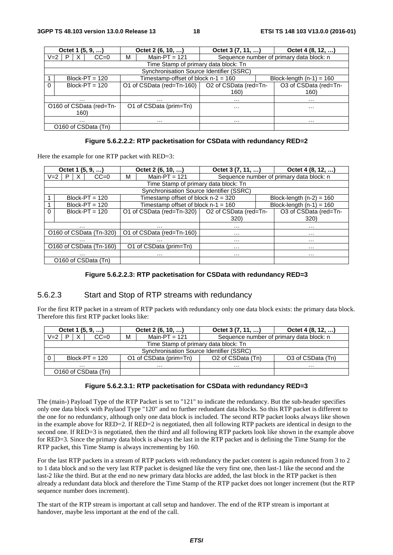|         | Octet 1 (5, 9, )                         | Octet 2 (6, 10, )                                 | Octet 3 (7, 11, )                        |                            | Octet 4 (8, 12, )     |  |  |  |
|---------|------------------------------------------|---------------------------------------------------|------------------------------------------|----------------------------|-----------------------|--|--|--|
| $V = 2$ | P<br>X<br>$CC=0$                         | Main-PT = $121$<br>м                              | Sequence number of primary data block: n |                            |                       |  |  |  |
|         | Time Stamp of primary data block: Tn     |                                                   |                                          |                            |                       |  |  |  |
|         | Synchronisation Source Identifier (SSRC) |                                                   |                                          |                            |                       |  |  |  |
|         | $Block-PT = 120$                         | Timestamp-offset of block $n-1 = 160$             |                                          | Block-length $(n-1) = 160$ |                       |  |  |  |
| 0       | $Block-PT = 120$                         | O1 of CSData (red=Tn-160)   O2 of CSData (red=Tn- |                                          |                            | O3 of CSData (red=Tn- |  |  |  |
|         |                                          |                                                   | 160)                                     |                            | 160)                  |  |  |  |
| .       |                                          | .                                                 | $\cdots$                                 |                            | $\cdots$              |  |  |  |
|         | O160 of CSData (red=Tn-                  | O1 of CSData (prim=Tn)                            | $\cdots$                                 |                            | $\cdots$              |  |  |  |
|         | 160)                                     |                                                   |                                          |                            |                       |  |  |  |
|         | .                                        | .                                                 | $\cdots$                                 |                            | .                     |  |  |  |
|         | O160 of CSData (Tn)                      |                                                   |                                          |                            |                       |  |  |  |

#### **Figure 5.6.2.2.2: RTP packetisation for CSData with redundancy RED=2**

Here the example for one RTP packet with RED=3:

| Octet $1(5, 9, )$            | Octet $2(6, 10, )$                                | Octet 3 (7, 11, ) |  | Octet 4 $(8, 12, )$                      |  |  |
|------------------------------|---------------------------------------------------|-------------------|--|------------------------------------------|--|--|
| $CC=0$<br>$V = 2$<br>X<br>P. | Main-PT = $121$<br>м                              |                   |  | Sequence number of primary data block: n |  |  |
|                              | Time Stamp of primary data block: Tn              |                   |  |                                          |  |  |
|                              | Synchronisation Source Identifier (SSRC)          |                   |  |                                          |  |  |
| $Block-PT = 120$             | Timestamp offset of block $n-2 = 320$             |                   |  | Block-length $(n-2) = 160$               |  |  |
| $Block-PT = 120$             | Timestamp offset of block $n-1 = 160$             |                   |  | Block-length $(n-1) = 160$               |  |  |
| $\Omega$<br>$Block-PT = 120$ | O1 of CSData (red=Tn-320)   O2 of CSData (red=Tn- |                   |  | O3 of CSData (red=Tn-                    |  |  |
|                              |                                                   | 320)              |  | 320)                                     |  |  |
| .                            | .                                                 | $\cdots$          |  | $\cdots$                                 |  |  |
| O160 of CSData (Tn-320)      | O1 of CSData (red=Tn-160)                         | $\cdots$          |  | $\cdots$                                 |  |  |
| .                            | .<br>.                                            |                   |  | .                                        |  |  |
| O160 of CSData (Tn-160)      | O1 of CSData (prim=Tn)                            | $\cdots$          |  | .                                        |  |  |
| .                            | .                                                 | .                 |  | .                                        |  |  |
| O160 of CSData (Tn)          |                                                   |                   |  |                                          |  |  |

#### **Figure 5.6.2.2.3: RTP packetisation for CSData with redundancy RED=3**

#### 5.6.2.3 Start and Stop of RTP streams with redundancy

For the first RTP packet in a stream of RTP packets with redundancy only one data block exists: the primary data block. Therefore this first RTP packet looks like:

| Octet 1 $(5, 9, )$                       |   |        | Octet $2(6, 10, )$ |                        | Octet 3 (7, 11, )             | Octet $4(8, 12, )$                       |  |
|------------------------------------------|---|--------|--------------------|------------------------|-------------------------------|------------------------------------------|--|
| $V = 2$<br>P                             | X | $CC=0$ | M                  | Main-PT = $121$        |                               | Sequence number of primary data block: n |  |
| Time Stamp of primary data block: Tn     |   |        |                    |                        |                               |                                          |  |
| Synchronisation Source Identifier (SSRC) |   |        |                    |                        |                               |                                          |  |
| 0<br>$Block-PT = 120$                    |   |        |                    | O1 of CSData (prim=Tn) | O <sub>2</sub> of CSData (Tn) | O3 of CSData (Tn)                        |  |
| .                                        |   |        | .                  |                        | .                             | .                                        |  |
| O160 of CSData (Tn)                      |   |        |                    |                        |                               |                                          |  |

#### **Figure 5.6.2.3.1: RTP packetisation for CSData with redundancy RED=3**

The (main-) Payload Type of the RTP Packet is set to "121" to indicate the redundancy. But the sub-header specifies only one data block with Paylaod Type "120" and no further redundant data blocks. So this RTP packet is different to the one for no redundancy, although only one data block is included. The second RTP packet looks always like shown in the example above for RED=2. If RED=2 is negotiated, then all following RTP packets are identical in design to the second one. If RED=3 is negotiated, then the third and all following RTP packets look like shown in the example above for RED=3. Since the primary data block is always the last in the RTP packet and is defining the Time Stamp for the RTP packet, this Time Stamp is always incrementing by 160.

For the last RTP packets in a stream of RTP packets with redundancy the packet content is again redunced from 3 to 2 to 1 data block and so the very last RTP packet is designed like the very first one, then last-1 like the second and the last-2 like the third. But at the end no new primary data blocks are added, the last block in the RTP packet is then already a redundant data block and therefore the Time Stamp of the RTP packet does not longer increment (but the RTP sequence number does increment).

The start of the RTP stream is important at call setup and handover. The end of the RTP stream is important at handover, maybe less important at the end of the call.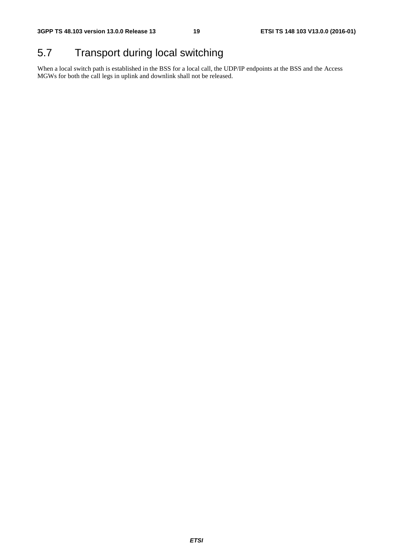# 5.7 Transport during local switching

When a local switch path is established in the BSS for a local call, the UDP/IP endpoints at the BSS and the Access MGWs for both the call legs in uplink and downlink shall not be released.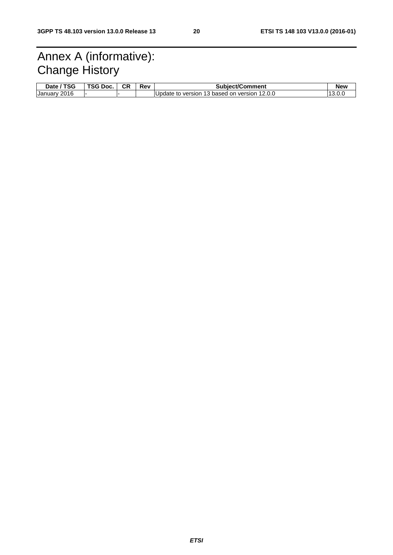# Annex A (informative): Change History

| <b>TSG</b><br>Date / | TSG Doc. | <b>CR</b> | Rev | <b>Subiect/Comment</b>                       | <b>New</b> |
|----------------------|----------|-----------|-----|----------------------------------------------|------------|
| 2016<br>January      |          |           |     | Update to version 13 based on version 12.0.0 |            |